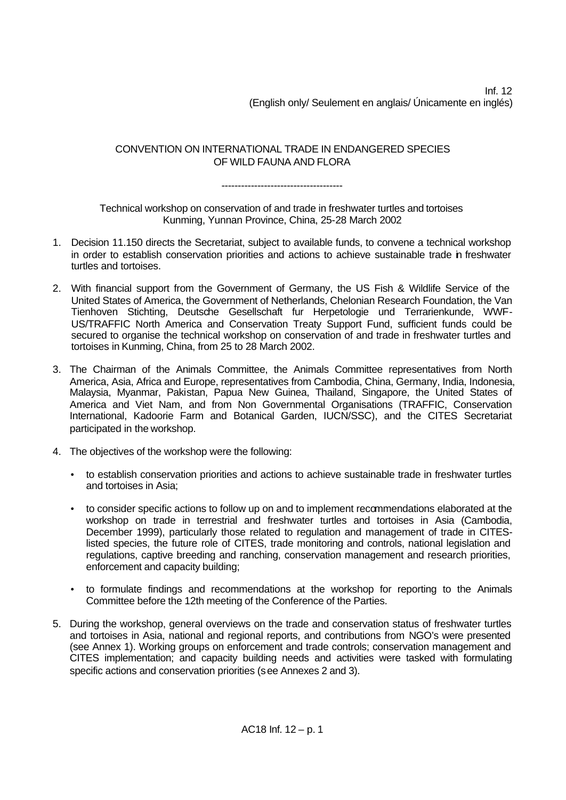Inf. 12 (English only/ Seulement en anglais/ Únicamente en inglés)

CONVENTION ON INTERNATIONAL TRADE IN ENDANGERED SPECIES OF WILD FAUNA AND FLORA

#### -------------------------------------

Technical workshop on conservation of and trade in freshwater turtles and tortoises Kunming, Yunnan Province, China, 25-28 March 2002

- 1. Decision 11.150 directs the Secretariat, subject to available funds, to convene a technical workshop in order to establish conservation priorities and actions to achieve sustainable trade in freshwater turtles and tortoises.
- 2. With financial support from the Government of Germany, the US Fish & Wildlife Service of the United States of America, the Government of Netherlands, Chelonian Research Foundation, the Van Tienhoven Stichting, Deutsche Gesellschaft fur Herpetologie und Terrarienkunde, WWF-US/TRAFFIC North America and Conservation Treaty Support Fund, sufficient funds could be secured to organise the technical workshop on conservation of and trade in freshwater turtles and tortoises in Kunming, China, from 25 to 28 March 2002.
- 3. The Chairman of the Animals Committee, the Animals Committee representatives from North America, Asia, Africa and Europe, representatives from Cambodia, China, Germany, India, Indonesia, Malaysia, Myanmar, Pakistan, Papua New Guinea, Thailand, Singapore, the United States of America and Viet Nam, and from Non Governmental Organisations (TRAFFIC, Conservation International, Kadoorie Farm and Botanical Garden, IUCN/SSC), and the CITES Secretariat participated in the workshop.
- 4. The objectives of the workshop were the following:
	- to establish conservation priorities and actions to achieve sustainable trade in freshwater turtles and tortoises in Asia;
	- to consider specific actions to follow up on and to implement recommendations elaborated at the workshop on trade in terrestrial and freshwater turtles and tortoises in Asia (Cambodia, December 1999), particularly those related to regulation and management of trade in CITESlisted species, the future role of CITES, trade monitoring and controls, national legislation and regulations, captive breeding and ranching, conservation management and research priorities, enforcement and capacity building;
	- to formulate findings and recommendations at the workshop for reporting to the Animals Committee before the 12th meeting of the Conference of the Parties.
- 5. During the workshop, general overviews on the trade and conservation status of freshwater turtles and tortoises in Asia, national and regional reports, and contributions from NGO's were presented (see Annex 1). Working groups on enforcement and trade controls; conservation management and CITES implementation; and capacity building needs and activities were tasked with formulating specific actions and conservation priorities (see Annexes 2 and 3).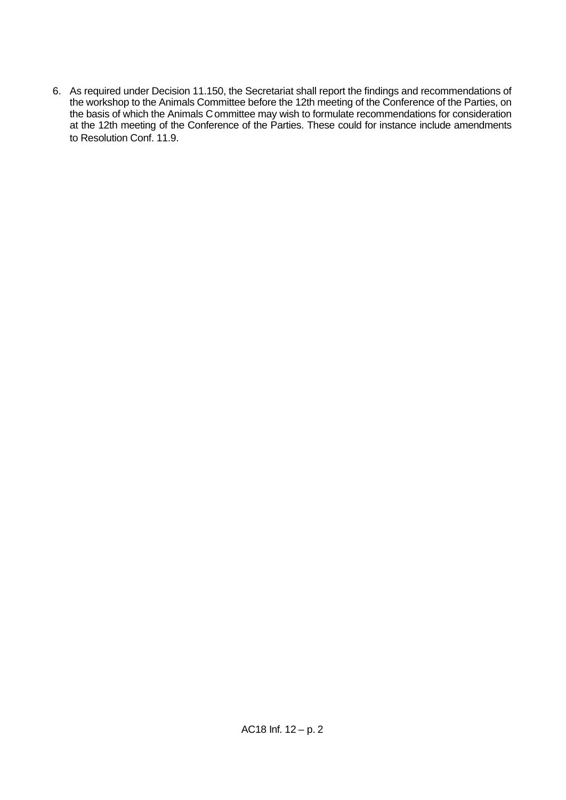6. As required under Decision 11.150, the Secretariat shall report the findings and recommendations of the workshop to the Animals Committee before the 12th meeting of the Conference of the Parties, on the basis of which the Animals Committee may wish to formulate recommendations for consideration at the 12th meeting of the Conference of the Parties. These could for instance include amendments to Resolution Conf. 11.9.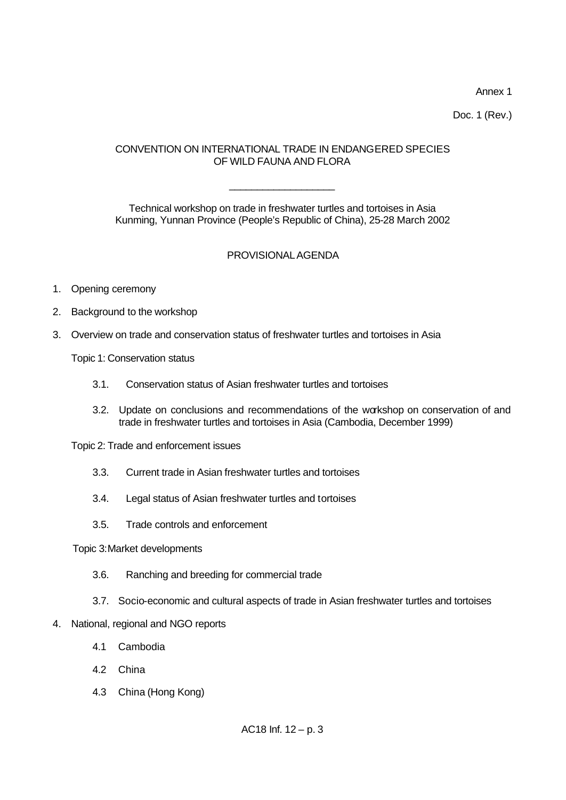Annex 1

Doc. 1 (Rev.)

### CONVENTION ON INTERNATIONAL TRADE IN ENDANGERED SPECIES OF WILD FAUNA AND FLORA

\_\_\_\_\_\_\_\_\_\_\_\_\_\_\_\_\_\_\_

Technical workshop on trade in freshwater turtles and tortoises in Asia Kunming, Yunnan Province (People's Republic of China), 25-28 March 2002

## PROVISIONAL AGENDA

- 1. Opening ceremony
- 2. Background to the workshop
- 3. Overview on trade and conservation status of freshwater turtles and tortoises in Asia

Topic 1: Conservation status

- 3.1. Conservation status of Asian freshwater turtles and tortoises
- 3.2. Update on conclusions and recommendations of the workshop on conservation of and trade in freshwater turtles and tortoises in Asia (Cambodia, December 1999)

Topic 2: Trade and enforcement issues

- 3.3. Current trade in Asian freshwater turtles and tortoises
- 3.4. Legal status of Asian freshwater turtles and tortoises
- 3.5. Trade controls and enforcement

#### Topic 3:Market developments

- 3.6. Ranching and breeding for commercial trade
- 3.7. Socio-economic and cultural aspects of trade in Asian freshwater turtles and tortoises
- 4. National, regional and NGO reports
	- 4.1 Cambodia
	- 4.2 China
	- 4.3 China (Hong Kong)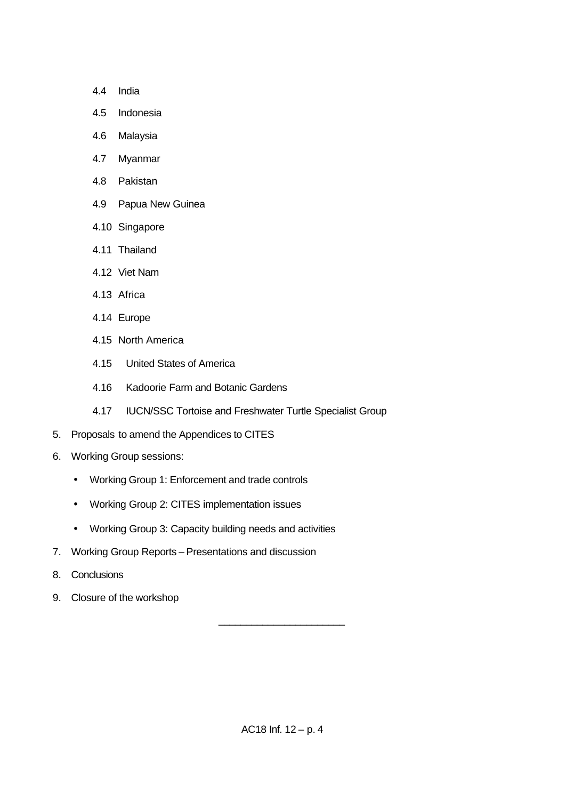- 4.4 India
- 4.5 Indonesia
- 4.6 Malaysia
- 4.7 Myanmar
- 4.8 Pakistan
- 4.9 Papua New Guinea
- 4.10 Singapore
- 4.11 Thailand
- 4.12 Viet Nam
- 4.13 Africa
- 4.14 Europe
- 4.15 North America
- 4.15 United States of America
- 4.16 Kadoorie Farm and Botanic Gardens
- 4.17 IUCN/SSC Tortoise and Freshwater Turtle Specialist Group
- 5. Proposals to amend the Appendices to CITES
- 6. Working Group sessions:
	- Working Group 1: Enforcement and trade controls
	- Working Group 2: CITES implementation issues
	- Working Group 3: Capacity building needs and activities
- 7. Working Group Reports Presentations and discussion
- 8. Conclusions
- 9. Closure of the workshop

\_\_\_\_\_\_\_\_\_\_\_\_\_\_\_\_\_\_\_\_\_\_\_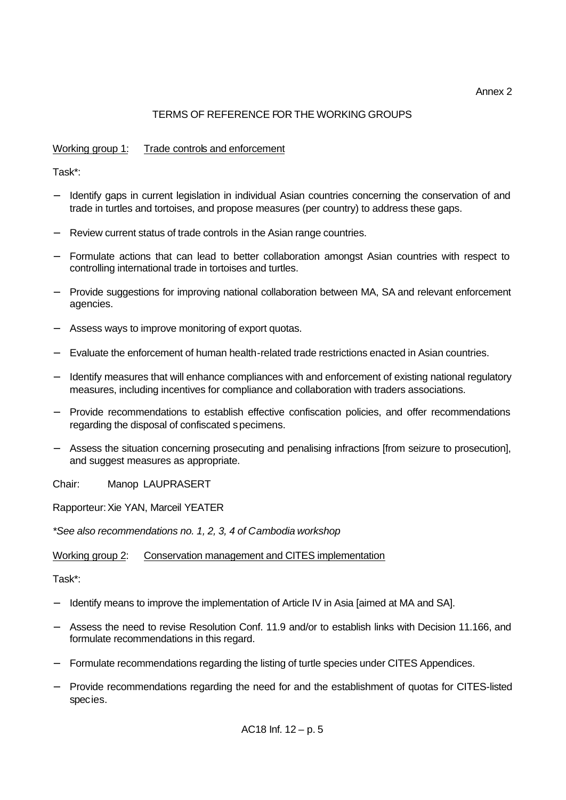#### Annex 2

# TERMS OF REFERENCE FOR THE WORKING GROUPS

### Working group 1: Trade controls and enforcement

Task\*:

- Hetartify gaps in current legislation in individual Asian countries concerning the conservation of and trade in turtles and tortoises, and propose measures (per country) to address these gaps.
- Review current status of trade controls in the Asian range countries.
- Formulate actions that can lead to better collaboration amongst Asian countries with respect to controlling international trade in tortoises and turtles.
- − Provide suggestions for improving national collaboration between MA, SA and relevant enforcement agencies.
- − Assess ways to improve monitoring of export quotas.
- − Evaluate the enforcement of human health-related trade restrictions enacted in Asian countries.
- Hentify measures that will enhance compliances with and enforcement of existing national regulatory measures, including incentives for compliance and collaboration with traders associations.
- − Provide recommendations to establish effective confiscation policies, and offer recommendations regarding the disposal of confiscated specimens.
- − Assess the situation concerning prosecuting and penalising infractions [from seizure to prosecution], and suggest measures as appropriate.

Chair: Manop LAUPRASERT

Rapporteur:Xie YAN, Marceil YEATER

*\*See also recommendations no. 1, 2, 3, 4 of Cambodia workshop*

Working group 2: Conservation management and CITES implementation

Task\*:

- − Identify means to improve the implementation of Article IV in Asia [aimed at MA and SA].
- − Assess the need to revise Resolution Conf. 11.9 and/or to establish links with Decision 11.166, and formulate recommendations in this regard.
- − Formulate recommendations regarding the listing of turtle species under CITES Appendices.
- − Provide recommendations regarding the need for and the establishment of quotas for CITES-listed species.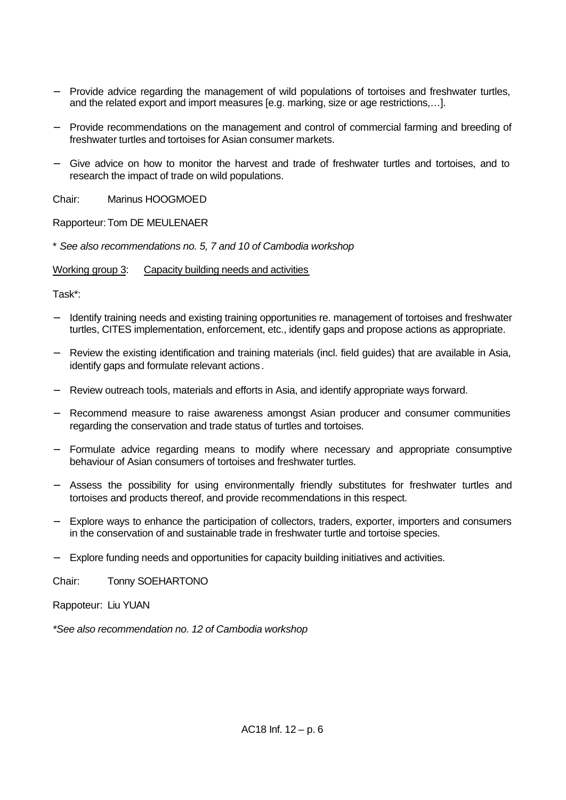- − Provide advice regarding the management of wild populations of tortoises and freshwater turtles, and the related export and import measures [e.g. marking, size or age restrictions,…].
- − Provide recommendations on the management and control of commercial farming and breeding of freshwater turtles and tortoises for Asian consumer markets.
- − Give advice on how to monitor the harvest and trade of freshwater turtles and tortoises, and to research the impact of trade on wild populations.

Chair: Marinus HOOGMOED

Rapporteur:Tom DE MEULENAER

\* *See also recommendations no. 5, 7 and 10 of Cambodia workshop*

Working group 3: Capacity building needs and activities

Task\*:

- Hentify training needs and existing training opportunities re. management of tortoises and freshwater turtles, CITES implementation, enforcement, etc., identify gaps and propose actions as appropriate.
- − Review the existing identification and training materials (incl. field guides) that are available in Asia, identify gaps and formulate relevant actions.
- − Review outreach tools, materials and efforts in Asia, and identify appropriate ways forward.
- Recommend measure to raise awareness amongst Asian producer and consumer communities regarding the conservation and trade status of turtles and tortoises.
- − Formulate advice regarding means to modify where necessary and appropriate consumptive behaviour of Asian consumers of tortoises and freshwater turtles.
- − Assess the possibility for using environmentally friendly substitutes for freshwater turtles and tortoises and products thereof, and provide recommendations in this respect.
- Explore ways to enhance the participation of collectors, traders, exporter, importers and consumers in the conservation of and sustainable trade in freshwater turtle and tortoise species.
- − Explore funding needs and opportunities for capacity building initiatives and activities.

Chair: Tonny SOEHARTONO

Rappoteur: Liu YUAN

*\*See also recommendation no. 12 of Cambodia workshop*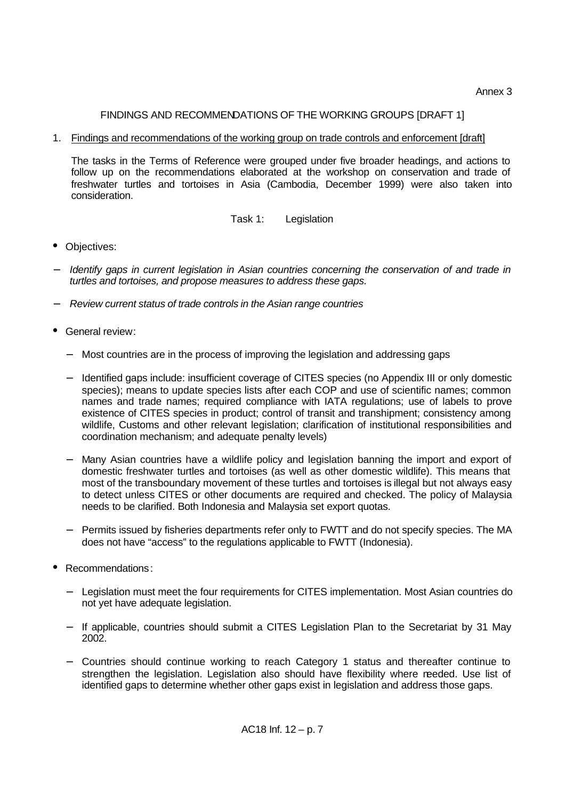Annex 3

### FINDINGS AND RECOMMENDATIONS OF THE WORKING GROUPS [DRAFT 1]

#### 1. Findings and recommendations of the working group on trade controls and enforcement [draft]

The tasks in the Terms of Reference were grouped under five broader headings, and actions to follow up on the recommendations elaborated at the workshop on conservation and trade of freshwater turtles and tortoises in Asia (Cambodia, December 1999) were also taken into consideration.

### Task 1: Legislation

- Objectives:
- *Identify gaps in current legislation in Asian countries concerning the conservation of and trade in turtles and tortoises, and propose measures to address these gaps.*
- − *Review current status of trade controls in the Asian range countries*
- General review:
	- − Most countries are in the process of improving the legislation and addressing gaps
	- − Identified gaps include: insufficient coverage of CITES species (no Appendix III or only domestic species); means to update species lists after each COP and use of scientific names; common names and trade names; required compliance with IATA regulations; use of labels to prove existence of CITES species in product; control of transit and transhipment; consistency among wildlife, Customs and other relevant legislation; clarification of institutional responsibilities and coordination mechanism; and adequate penalty levels)
	- − Many Asian countries have a wildlife policy and legislation banning the import and export of domestic freshwater turtles and tortoises (as well as other domestic wildlife). This means that most of the transboundary movement of these turtles and tortoises is illegal but not always easy to detect unless CITES or other documents are required and checked. The policy of Malaysia needs to be clarified. Both Indonesia and Malaysia set export quotas.
	- Permits issued by fisheries departments refer only to FWTT and do not specify species. The MA does not have "access" to the regulations applicable to FWTT (Indonesia).
- Recommendations:
	- Legislation must meet the four requirements for CITES implementation. Most Asian countries do not yet have adequate legislation.
	- − If applicable, countries should submit a CITES Legislation Plan to the Secretariat by 31 May 2002.
	- − Countries should continue working to reach Category 1 status and thereafter continue to strengthen the legislation. Legislation also should have flexibility where needed. Use list of identified gaps to determine whether other gaps exist in legislation and address those gaps.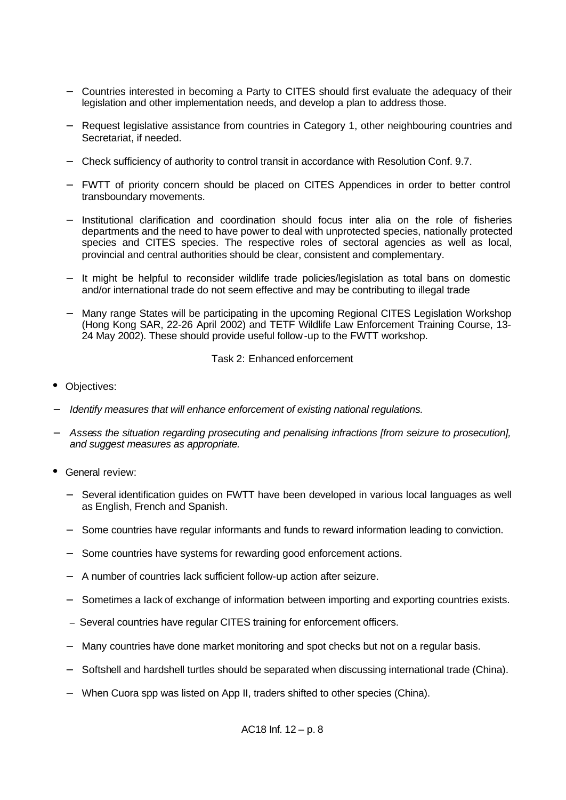- − Countries interested in becoming a Party to CITES should first evaluate the adequacy of their legislation and other implementation needs, and develop a plan to address those.
- Request legislative assistance from countries in Category 1, other neighbouring countries and Secretariat, if needed.
- − Check sufficiency of authority to control transit in accordance with Resolution Conf. 9.7.
- − FWTT of priority concern should be placed on CITES Appendices in order to better control transboundary movements.
- − Institutional clarification and coordination should focus inter alia on the role of fisheries departments and the need to have power to deal with unprotected species, nationally protected species and CITES species. The respective roles of sectoral agencies as well as local, provincial and central authorities should be clear, consistent and complementary.
- It might be helpful to reconsider wildlife trade policies/legislation as total bans on domestic and/or international trade do not seem effective and may be contributing to illegal trade
- Many range States will be participating in the upcoming Regional CITES Legislation Workshop (Hong Kong SAR, 22-26 April 2002) and TETF Wildlife Law Enforcement Training Course, 13- 24 May 2002). These should provide useful follow-up to the FWTT workshop.

Task 2: Enhanced enforcement

- Objectives:
- − *Identify measures that will enhance enforcement of existing national regulations.*
- − *Assess the situation regarding prosecuting and penalising infractions [from seizure to prosecution], and suggest measures as appropriate.*
- General review:
	- Several identification guides on FWTT have been developed in various local languages as well as English, French and Spanish.
	- Some countries have regular informants and funds to reward information leading to conviction.
	- − Some countries have systems for rewarding good enforcement actions.
	- A number of countries lack sufficient follow-up action after seizure.
	- Sometimes a lack of exchange of information between importing and exporting countries exists.
	- Several countries have regular CITES training for enforcement officers.
	- Many countries have done market monitoring and spot checks but not on a regular basis.
	- − Softshell and hardshell turtles should be separated when discussing international trade (China).
	- − When Cuora spp was listed on App II, traders shifted to other species (China).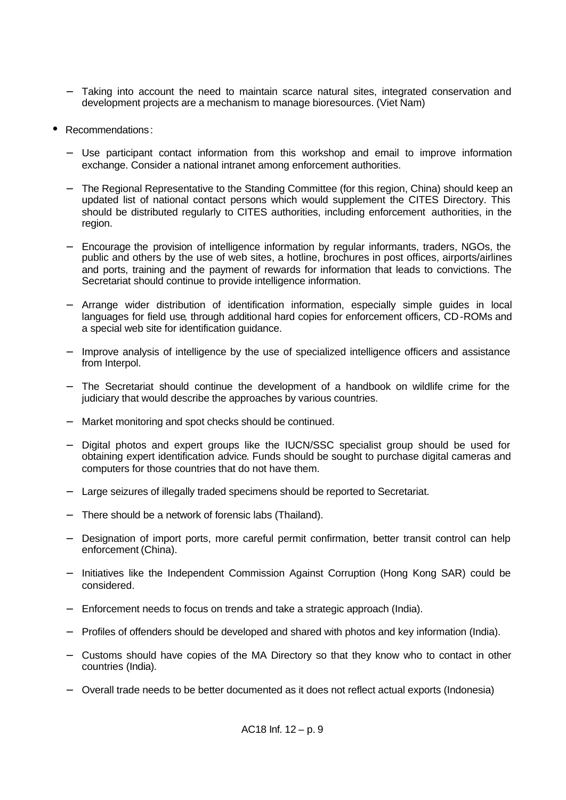- Taking into account the need to maintain scarce natural sites, integrated conservation and development projects are a mechanism to manage bioresources. (Viet Nam)
- Recommendations:
	- − Use participant contact information from this workshop and email to improve information exchange. Consider a national intranet among enforcement authorities.
	- The Regional Representative to the Standing Committee (for this region, China) should keep an updated list of national contact persons which would supplement the CITES Directory. This should be distributed regularly to CITES authorities, including enforcement authorities, in the region.
	- − Encourage the provision of intelligence information by regular informants, traders, NGOs, the public and others by the use of web sites, a hotline, brochures in post offices, airports/airlines and ports, training and the payment of rewards for information that leads to convictions. The Secretariat should continue to provide intelligence information.
	- − Arrange wider distribution of identification information, especially simple guides in local languages for field use, through additional hard copies for enforcement officers, CD-ROMs and a special web site for identification guidance.
	- Improve analysis of intelligence by the use of specialized intelligence officers and assistance from Interpol.
	- The Secretariat should continue the development of a handbook on wildlife crime for the judiciary that would describe the approaches by various countries.
	- − Market monitoring and spot checks should be continued.
	- − Digital photos and expert groups like the IUCN/SSC specialist group should be used for obtaining expert identification advice. Funds should be sought to purchase digital cameras and computers for those countries that do not have them.
	- Large seizures of illegally traded specimens should be reported to Secretariat.
	- There should be a network of forensic labs (Thailand).
	- − Designation of import ports, more careful permit confirmation, better transit control can help enforcement (China).
	- − Initiatives like the Independent Commission Against Corruption (Hong Kong SAR) could be considered.
	- Enforcement needs to focus on trends and take a strategic approach (India).
	- − Profiles of offenders should be developed and shared with photos and key information (India).
	- − Customs should have copies of the MA Directory so that they know who to contact in other countries (India).
	- − Overall trade needs to be better documented as it does not reflect actual exports (Indonesia)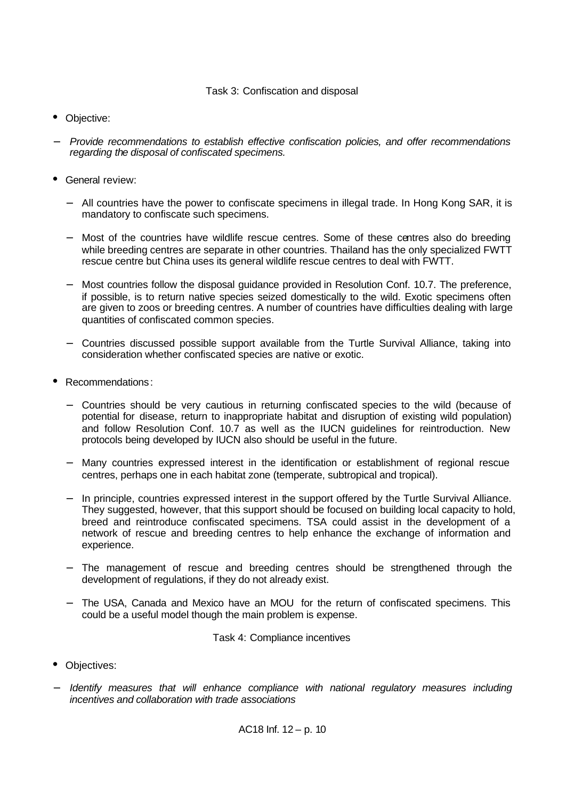#### Task 3: Confiscation and disposal

- Objective:
- − *Provide recommendations to establish effective confiscation policies, and offer recommendations regarding the disposal of confiscated specimens.*
- General review:
	- − All countries have the power to confiscate specimens in illegal trade. In Hong Kong SAR, it is mandatory to confiscate such specimens.
	- − Most of the countries have wildlife rescue centres. Some of these centres also do breeding while breeding centres are separate in other countries. Thailand has the only specialized FWTT rescue centre but China uses its general wildlife rescue centres to deal with FWTT.
	- − Most countries follow the disposal guidance provided in Resolution Conf. 10.7. The preference, if possible, is to return native species seized domestically to the wild. Exotic specimens often are given to zoos or breeding centres. A number of countries have difficulties dealing with large quantities of confiscated common species.
	- − Countries discussed possible support available from the Turtle Survival Alliance, taking into consideration whether confiscated species are native or exotic.
- Recommendations:
	- − Countries should be very cautious in returning confiscated species to the wild (because of potential for disease, return to inappropriate habitat and disruption of existing wild population) and follow Resolution Conf. 10.7 as well as the IUCN guidelines for reintroduction. New protocols being developed by IUCN also should be useful in the future.
	- Many countries expressed interest in the identification or establishment of regional rescue centres, perhaps one in each habitat zone (temperate, subtropical and tropical).
	- In principle, countries expressed interest in the support offered by the Turtle Survival Alliance. They suggested, however, that this support should be focused on building local capacity to hold, breed and reintroduce confiscated specimens. TSA could assist in the development of a network of rescue and breeding centres to help enhance the exchange of information and experience.
	- The management of rescue and breeding centres should be strengthened through the development of regulations, if they do not already exist.
	- The USA, Canada and Mexico have an MOU for the return of confiscated specimens. This could be a useful model though the main problem is expense.

Task 4: Compliance incentives

- Objectives:
- − *Identify measures that will enhance compliance with national regulatory measures including incentives and collaboration with trade associations*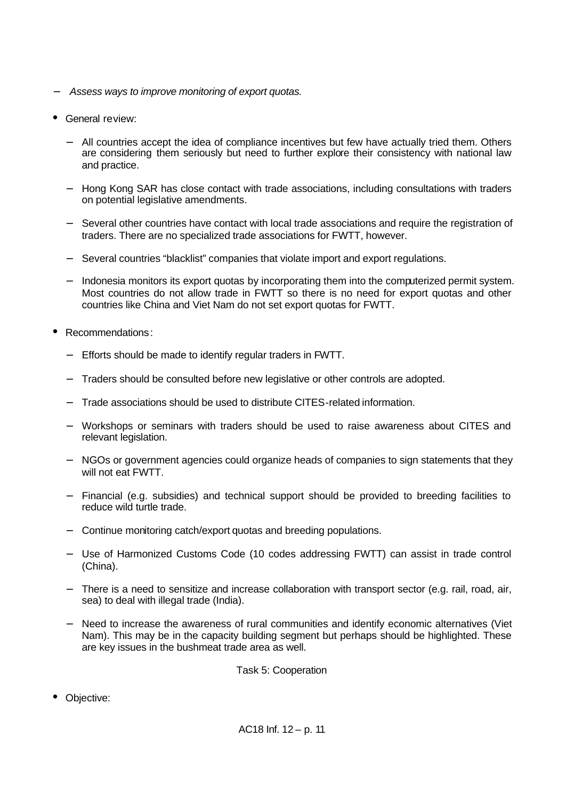- − *Assess ways to improve monitoring of export quotas.*
- General review:
	- − All countries accept the idea of compliance incentives but few have actually tried them. Others are considering them seriously but need to further explore their consistency with national law and practice.
	- − Hong Kong SAR has close contact with trade associations, including consultations with traders on potential legislative amendments.
	- Several other countries have contact with local trade associations and require the registration of traders. There are no specialized trade associations for FWTT, however.
	- − Several countries "blacklist" companies that violate import and export regulations.
	- − Indonesia monitors its export quotas by incorporating them into the computerized permit system. Most countries do not allow trade in FWTT so there is no need for export quotas and other countries like China and Viet Nam do not set export quotas for FWTT.
- Recommendations:
	- Efforts should be made to identify regular traders in FWTT.
	- Traders should be consulted before new legislative or other controls are adopted.
	- − Trade associations should be used to distribute CITES-related information.
	- − Workshops or seminars with traders should be used to raise awareness about CITES and relevant legislation.
	- − NGOs or government agencies could organize heads of companies to sign statements that they will not eat FWTT.
	- − Financial (e.g. subsidies) and technical support should be provided to breeding facilities to reduce wild turtle trade.
	- − Continue monitoring catch/export quotas and breeding populations.
	- − Use of Harmonized Customs Code (10 codes addressing FWTT) can assist in trade control (China).
	- − There is a need to sensitize and increase collaboration with transport sector (e.g. rail, road, air, sea) to deal with illegal trade (India).
	- Need to increase the awareness of rural communities and identify economic alternatives (Viet Nam). This may be in the capacity building segment but perhaps should be highlighted. These are key issues in the bushmeat trade area as well.

Task 5: Cooperation

• Objective: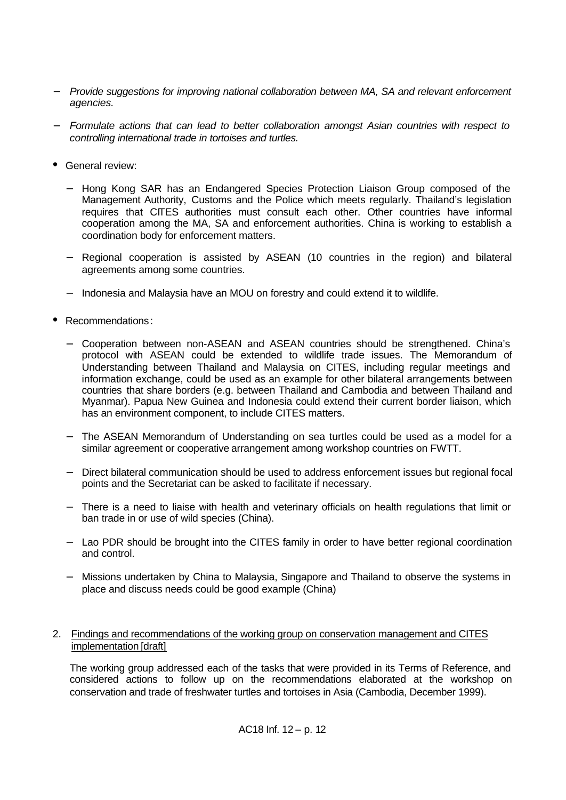- − *Provide suggestions for improving national collaboration between MA, SA and relevant enforcement agencies.*
- − *Formulate actions that can lead to better collaboration amongst Asian countries with respect to controlling international trade in tortoises and turtles.*
- General review:
	- − Hong Kong SAR has an Endangered Species Protection Liaison Group composed of the Management Authority, Customs and the Police which meets regularly. Thailand's legislation requires that CITES authorities must consult each other. Other countries have informal cooperation among the MA, SA and enforcement authorities. China is working to establish a coordination body for enforcement matters.
	- − Regional cooperation is assisted by ASEAN (10 countries in the region) and bilateral agreements among some countries.
	- − Indonesia and Malaysia have an MOU on forestry and could extend it to wildlife.
- Recommendations:
	- − Cooperation between non-ASEAN and ASEAN countries should be strengthened. China's protocol with ASEAN could be extended to wildlife trade issues. The Memorandum of Understanding between Thailand and Malaysia on CITES, including regular meetings and information exchange, could be used as an example for other bilateral arrangements between countries that share borders (e.g. between Thailand and Cambodia and between Thailand and Myanmar). Papua New Guinea and Indonesia could extend their current border liaison, which has an environment component, to include CITES matters.
	- − The ASEAN Memorandum of Understanding on sea turtles could be used as a model for a similar agreement or cooperative arrangement among workshop countries on FWTT.
	- − Direct bilateral communication should be used to address enforcement issues but regional focal points and the Secretariat can be asked to facilitate if necessary.
	- − There is a need to liaise with health and veterinary officials on health regulations that limit or ban trade in or use of wild species (China).
	- − Lao PDR should be brought into the CITES family in order to have better regional coordination and control.
	- − Missions undertaken by China to Malaysia, Singapore and Thailand to observe the systems in place and discuss needs could be good example (China)
- 2. Findings and recommendations of the working group on conservation management and CITES implementation [draft]

The working group addressed each of the tasks that were provided in its Terms of Reference, and considered actions to follow up on the recommendations elaborated at the workshop on conservation and trade of freshwater turtles and tortoises in Asia (Cambodia, December 1999).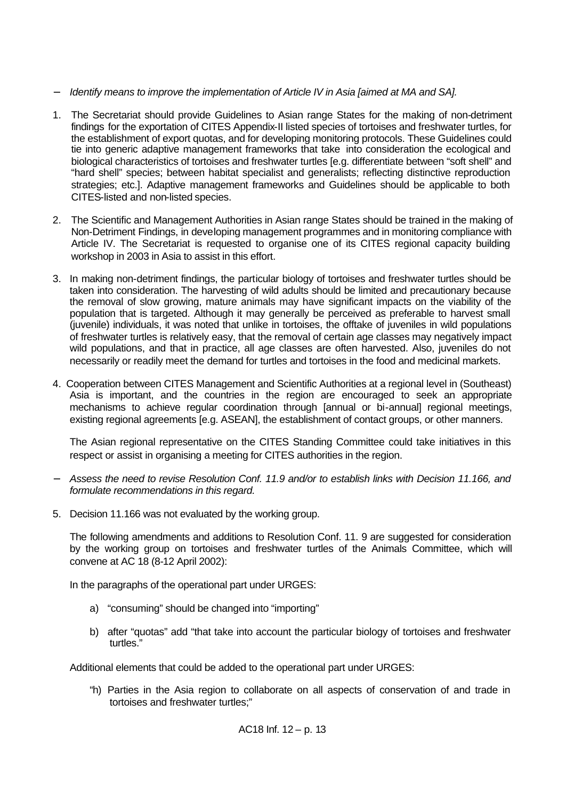- − *Identify means to improve the implementation of Article IV in Asia [aimed at MA and SA].*
- 1. The Secretariat should provide Guidelines to Asian range States for the making of non-detriment findings for the exportation of CITES Appendix-II listed species of tortoises and freshwater turtles, for the establishment of export quotas, and for developing monitoring protocols. These Guidelines could tie into generic adaptive management frameworks that take into consideration the ecological and biological characteristics of tortoises and freshwater turtles [e.g. differentiate between "soft shell" and "hard shell" species; between habitat specialist and generalists; reflecting distinctive reproduction strategies; etc.]. Adaptive management frameworks and Guidelines should be applicable to both CITES-listed and non-listed species.
- 2. The Scientific and Management Authorities in Asian range States should be trained in the making of Non-Detriment Findings, in developing management programmes and in monitoring compliance with Article IV. The Secretariat is requested to organise one of its CITES regional capacity building workshop in 2003 in Asia to assist in this effort.
- 3. In making non-detriment findings, the particular biology of tortoises and freshwater turtles should be taken into consideration. The harvesting of wild adults should be limited and precautionary because the removal of slow growing, mature animals may have significant impacts on the viability of the population that is targeted. Although it may generally be perceived as preferable to harvest small (juvenile) individuals, it was noted that unlike in tortoises, the offtake of juveniles in wild populations of freshwater turtles is relatively easy, that the removal of certain age classes may negatively impact wild populations, and that in practice, all age classes are often harvested. Also, juveniles do not necessarily or readily meet the demand for turtles and tortoises in the food and medicinal markets.
- 4. Cooperation between CITES Management and Scientific Authorities at a regional level in (Southeast) Asia is important, and the countries in the region are encouraged to seek an appropriate mechanisms to achieve regular coordination through [annual or bi-annual] regional meetings, existing regional agreements [e.g. ASEAN], the establishment of contact groups, or other manners.

The Asian regional representative on the CITES Standing Committee could take initiatives in this respect or assist in organising a meeting for CITES authorities in the region.

- − *Assess the need to revise Resolution Conf. 11.9 and/or to establish links with Decision 11.166, and formulate recommendations in this regard.*
- 5. Decision 11.166 was not evaluated by the working group.

The following amendments and additions to Resolution Conf. 11. 9 are suggested for consideration by the working group on tortoises and freshwater turtles of the Animals Committee, which will convene at AC 18 (8-12 April 2002):

In the paragraphs of the operational part under URGES:

- a) "consuming" should be changed into "importing"
- b) after "quotas" add "that take into account the particular biology of tortoises and freshwater turtles."

Additional elements that could be added to the operational part under URGES:

"h) Parties in the Asia region to collaborate on all aspects of conservation of and trade in tortoises and freshwater turtles;"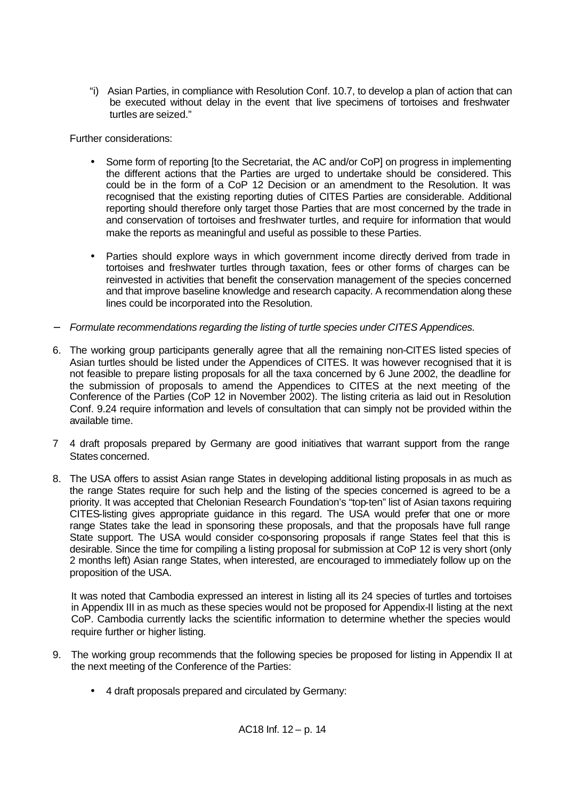"i) Asian Parties, in compliance with Resolution Conf. 10.7, to develop a plan of action that can be executed without delay in the event that live specimens of tortoises and freshwater turtles are seized."

Further considerations:

- Some form of reporting [to the Secretariat, the AC and/or CoP] on progress in implementing the different actions that the Parties are urged to undertake should be considered. This could be in the form of a CoP 12 Decision or an amendment to the Resolution. It was recognised that the existing reporting duties of CITES Parties are considerable. Additional reporting should therefore only target those Parties that are most concerned by the trade in and conservation of tortoises and freshwater turtles, and require for information that would make the reports as meaningful and useful as possible to these Parties.
- Parties should explore ways in which government income directly derived from trade in tortoises and freshwater turtles through taxation, fees or other forms of charges can be reinvested in activities that benefit the conservation management of the species concerned and that improve baseline knowledge and research capacity. A recommendation along these lines could be incorporated into the Resolution.
- − *Formulate recommendations regarding the listing of turtle species under CITES Appendices.*
- 6. The working group participants generally agree that all the remaining non-CITES listed species of Asian turtles should be listed under the Appendices of CITES. It was however recognised that it is not feasible to prepare listing proposals for all the taxa concerned by 6 June 2002, the deadline for the submission of proposals to amend the Appendices to CITES at the next meeting of the Conference of the Parties (CoP 12 in November 2002). The listing criteria as laid out in Resolution Conf. 9.24 require information and levels of consultation that can simply not be provided within the available time.
- 7 4 draft proposals prepared by Germany are good initiatives that warrant support from the range States concerned.
- 8. The USA offers to assist Asian range States in developing additional listing proposals in as much as the range States require for such help and the listing of the species concerned is agreed to be a priority. It was accepted that Chelonian Research Foundation's "top-ten" list of Asian taxons requiring CITES-listing gives appropriate guidance in this regard. The USA would prefer that one or more range States take the lead in sponsoring these proposals, and that the proposals have full range State support. The USA would consider co-sponsoring proposals if range States feel that this is desirable. Since the time for compiling a listing proposal for submission at CoP 12 is very short (only 2 months left) Asian range States, when interested, are encouraged to immediately follow up on the proposition of the USA.

It was noted that Cambodia expressed an interest in listing all its 24 species of turtles and tortoises in Appendix III in as much as these species would not be proposed for Appendix-II listing at the next CoP. Cambodia currently lacks the scientific information to determine whether the species would require further or higher listing.

- 9. The working group recommends that the following species be proposed for listing in Appendix II at the next meeting of the Conference of the Parties:
	- 4 draft proposals prepared and circulated by Germany: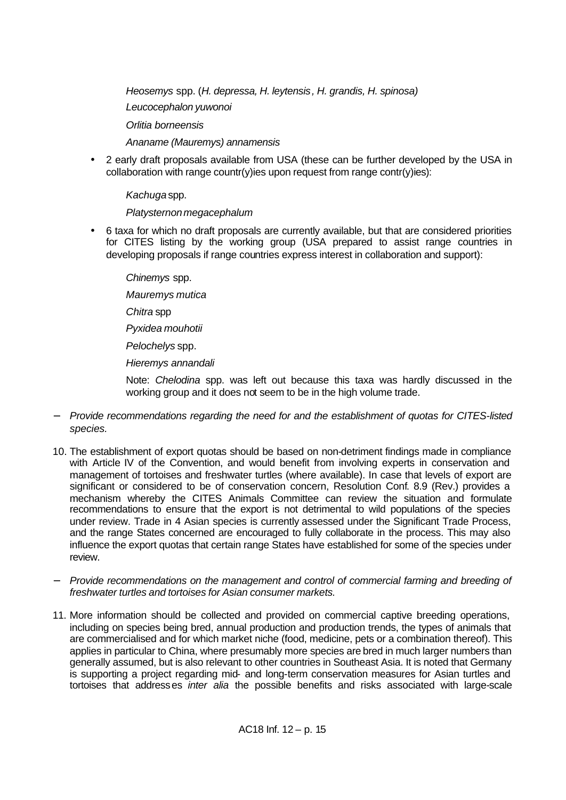*Heosemys* spp. (*H. depressa, H. leytensis, H. grandis, H. spinosa) Leucocephalon yuwonoi Orlitia borneensis*

*Ananame (Mauremys) annamensis*

• 2 early draft proposals available from USA (these can be further developed by the USA in collaboration with range countr(y)ies upon request from range contr(y)ies):

*Kachuga* spp.

*Platysternon megacephalum*

• 6 taxa for which no draft proposals are currently available, but that are considered priorities for CITES listing by the working group (USA prepared to assist range countries in developing proposals if range countries express interest in collaboration and support):

*Chinemys* spp.

*Mauremys mutica*

*Chitra* spp

*Pyxidea mouhotii*

*Pelochelys* spp.

*Hieremys annandali*

Note: *Chelodina* spp. was left out because this taxa was hardly discussed in the working group and it does not seem to be in the high volume trade.

- − *Provide recommendations regarding the need for and the establishment of quotas for CITES-listed species.*
- 10. The establishment of export quotas should be based on non-detriment findings made in compliance with Article IV of the Convention, and would benefit from involving experts in conservation and management of tortoises and freshwater turtles (where available). In case that levels of export are significant or considered to be of conservation concern, Resolution Conf. 8.9 (Rev.) provides a mechanism whereby the CITES Animals Committee can review the situation and formulate recommendations to ensure that the export is not detrimental to wild populations of the species under review. Trade in 4 Asian species is currently assessed under the Significant Trade Process, and the range States concerned are encouraged to fully collaborate in the process. This may also influence the export quotas that certain range States have established for some of the species under review.
- − *Provide recommendations on the management and control of commercial farming and breeding of freshwater turtles and tortoises for Asian consumer markets.*
- 11. More information should be collected and provided on commercial captive breeding operations, including on species being bred, annual production and production trends, the types of animals that are commercialised and for which market niche (food, medicine, pets or a combination thereof). This applies in particular to China, where presumably more species are bred in much larger numbers than generally assumed, but is also relevant to other countries in Southeast Asia. It is noted that Germany is supporting a project regarding mid- and long-term conservation measures for Asian turtles and tortoises that addresses *inter alia* the possible benefits and risks associated with large-scale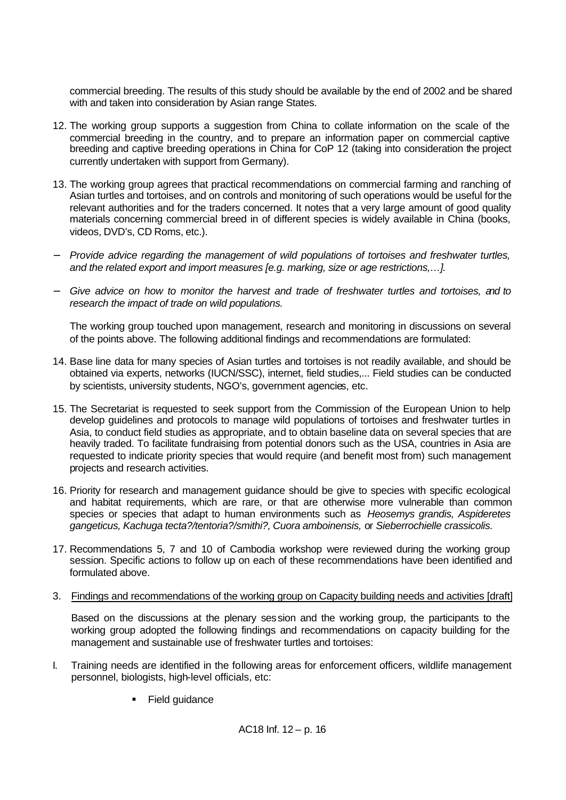commercial breeding. The results of this study should be available by the end of 2002 and be shared with and taken into consideration by Asian range States.

- 12. The working group supports a suggestion from China to collate information on the scale of the commercial breeding in the country, and to prepare an information paper on commercial captive breeding and captive breeding operations in China for CoP 12 (taking into consideration the project currently undertaken with support from Germany).
- 13. The working group agrees that practical recommendations on commercial farming and ranching of Asian turtles and tortoises, and on controls and monitoring of such operations would be useful for the relevant authorities and for the traders concerned. It notes that a very large amount of good quality materials concerning commercial breed in of different species is widely available in China (books, videos, DVD's, CD Roms, etc.).
- − *Provide advice regarding the management of wild populations of tortoises and freshwater turtles, and the related export and import measures [e.g. marking, size or age restrictions,…].*
- − *Give advice on how to monitor the harvest and trade of freshwater turtles and tortoises, and to research the impact of trade on wild populations.*

The working group touched upon management, research and monitoring in discussions on several of the points above. The following additional findings and recommendations are formulated:

- 14. Base line data for many species of Asian turtles and tortoises is not readily available, and should be obtained via experts, networks (IUCN/SSC), internet, field studies,... Field studies can be conducted by scientists, university students, NGO's, government agencies, etc.
- 15. The Secretariat is requested to seek support from the Commission of the European Union to help develop guidelines and protocols to manage wild populations of tortoises and freshwater turtles in Asia, to conduct field studies as appropriate, and to obtain baseline data on several species that are heavily traded. To facilitate fundraising from potential donors such as the USA, countries in Asia are requested to indicate priority species that would require (and benefit most from) such management projects and research activities.
- 16. Priority for research and management guidance should be give to species with specific ecological and habitat requirements, which are rare, or that are otherwise more vulnerable than common species or species that adapt to human environments such as *Heosemys grandis, Aspideretes gangeticus, Kachuga tecta?/tentoria?/smithi?, Cuora amboinensis,* or *Sieberrochielle crassicolis.*
- 17. Recommendations 5, 7 and 10 of Cambodia workshop were reviewed during the working group session. Specific actions to follow up on each of these recommendations have been identified and formulated above.
- 3. Findings and recommendations of the working group on Capacity building needs and activities [draft]

Based on the discussions at the plenary session and the working group, the participants to the working group adopted the following findings and recommendations on capacity building for the management and sustainable use of freshwater turtles and tortoises:

- I. Training needs are identified in the following areas for enforcement officers, wildlife management personnel, biologists, high-level officials, etc:
	- Field guidance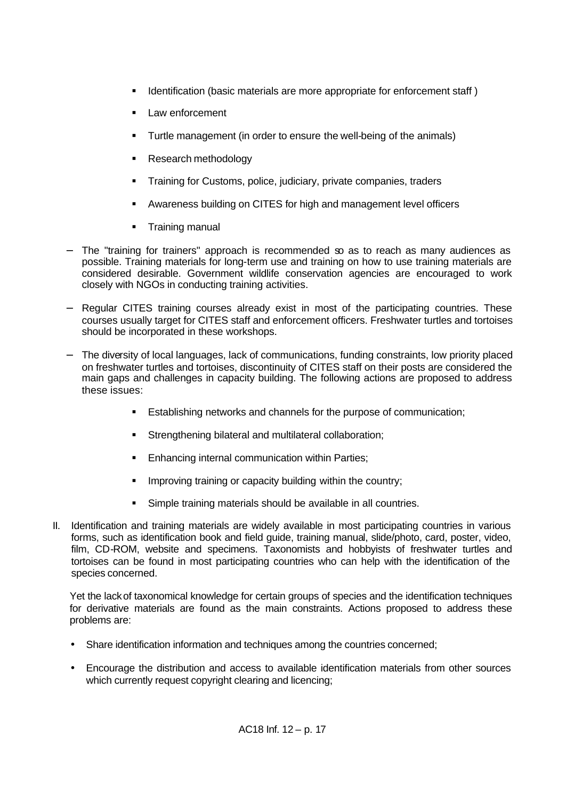- **IDENTIFY IDENTIFY IS A IDENTIFY IS A IDENTIFY IS A IDENTIFY A IDENTIFY IS A IDENTIFY IS A IDENTIFY IS A IDENTI**
- Law enforcement
- ß Turtle management (in order to ensure the well-being of the animals)
- ß Research methodology
- ß Training for Customs, police, judiciary, private companies, traders
- **EXECT** Awareness building on CITES for high and management level officers
- ß Training manual
- The "training for trainers" approach is recommended so as to reach as many audiences as possible. Training materials for long-term use and training on how to use training materials are considered desirable. Government wildlife conservation agencies are encouraged to work closely with NGOs in conducting training activities.
- − Regular CITES training courses already exist in most of the participating countries. These courses usually target for CITES staff and enforcement officers. Freshwater turtles and tortoises should be incorporated in these workshops.
- The diversity of local languages, lack of communications, funding constraints, low priority placed on freshwater turtles and tortoises, discontinuity of CITES staff on their posts are considered the main gaps and challenges in capacity building. The following actions are proposed to address these issues:
	- **Establishing networks and channels for the purpose of communication;**
	- **Strengthening bilateral and multilateral collaboration;**
	- **Enhancing internal communication within Parties;**
	- **IMPROVIG IMM** Indiang or capacity building within the country;
	- **Simple training materials should be available in all countries.**
- II. Identification and training materials are widely available in most participating countries in various forms, such as identification book and field guide, training manual, slide/photo, card, poster, video, film, CD-ROM, website and specimens. Taxonomists and hobbyists of freshwater turtles and tortoises can be found in most participating countries who can help with the identification of the species concerned.

Yet the lack of taxonomical knowledge for certain groups of species and the identification techniques for derivative materials are found as the main constraints. Actions proposed to address these problems are:

- Share identification information and techniques among the countries concerned;
- Encourage the distribution and access to available identification materials from other sources which currently request copyright clearing and licencing;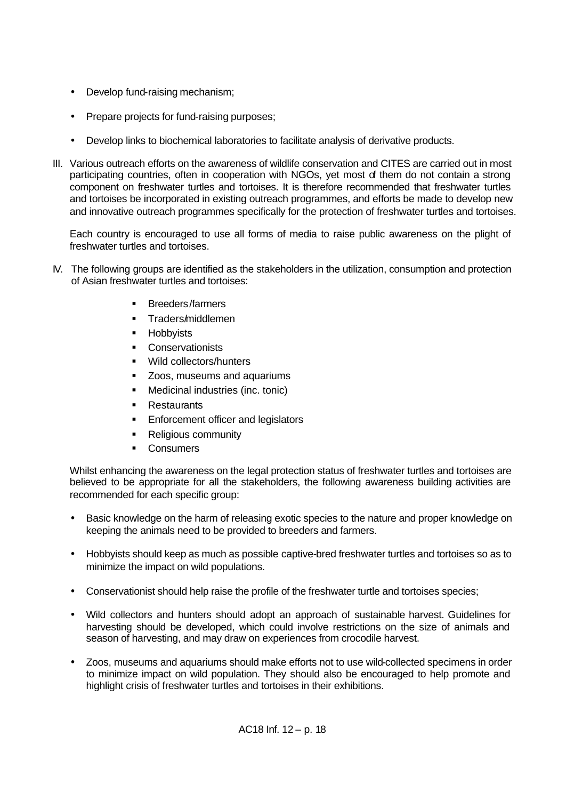- Develop fund-raising mechanism;
- Prepare projects for fund-raising purposes;
- Develop links to biochemical laboratories to facilitate analysis of derivative products.
- III. Various outreach efforts on the awareness of wildlife conservation and CITES are carried out in most participating countries, often in cooperation with NGOs, yet most of them do not contain a strong component on freshwater turtles and tortoises. It is therefore recommended that freshwater turtles and tortoises be incorporated in existing outreach programmes, and efforts be made to develop new and innovative outreach programmes specifically for the protection of freshwater turtles and tortoises.

Each country is encouraged to use all forms of media to raise public awareness on the plight of freshwater turtles and tortoises.

- IV. The following groups are identified as the stakeholders in the utilization, consumption and protection of Asian freshwater turtles and tortoises:
	- ß Breeders/farmers
	- **F** Traders/middlemen
	- **Hobbyists**
	- Conservationists
	- **Wild collectors/hunters**
	- ß Zoos, museums and aquariums
	- **•** Medicinal industries (inc. tonic)
	- Restaurants
	- **Enforcement officer and legislators**
	- Religious community
	- Consumers

Whilst enhancing the awareness on the legal protection status of freshwater turtles and tortoises are believed to be appropriate for all the stakeholders, the following awareness building activities are recommended for each specific group:

- Basic knowledge on the harm of releasing exotic species to the nature and proper knowledge on keeping the animals need to be provided to breeders and farmers.
- Hobbyists should keep as much as possible captive-bred freshwater turtles and tortoises so as to minimize the impact on wild populations.
- Conservationist should help raise the profile of the freshwater turtle and tortoises species;
- Wild collectors and hunters should adopt an approach of sustainable harvest. Guidelines for harvesting should be developed, which could involve restrictions on the size of animals and season of harvesting, and may draw on experiences from crocodile harvest.
- Zoos, museums and aquariums should make efforts not to use wild-collected specimens in order to minimize impact on wild population. They should also be encouraged to help promote and highlight crisis of freshwater turtles and tortoises in their exhibitions.